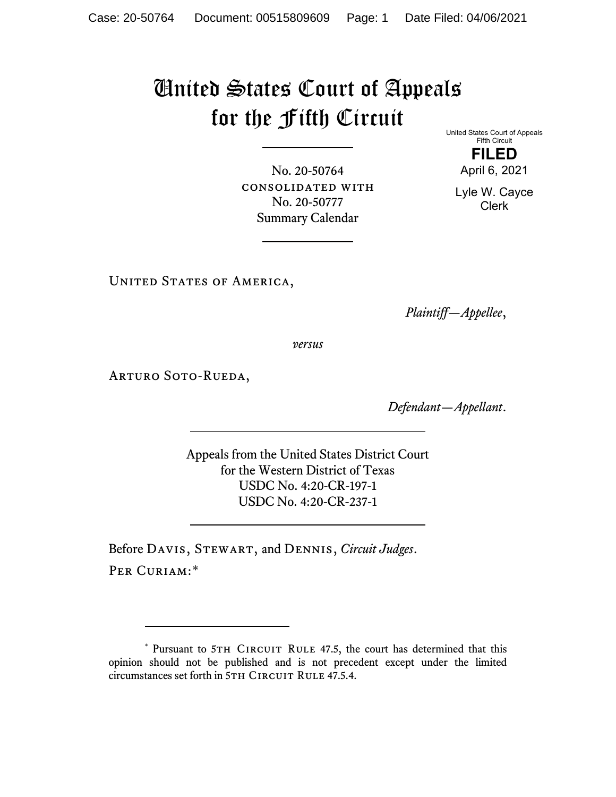## United States Court of Appeals for the Fifth Circuit

No. 20-50764 consolidated with No. 20-50777 Summary Calendar

United States Court of Appeals Fifth Circuit **FILED** April 6, 2021

Lyle W. Cayce Clerk

UNITED STATES OF AMERICA,

*Plaintiff—Appellee*,

*versus*

ARTURO SOTO-RUEDA,

*Defendant—Appellant*.

Appeals from the United States District Court for the Western District of Texas USDC No. 4:20-CR-197-1 USDC No. 4:20-CR-237-1

Before Davis, Stewart, and Dennis, *Circuit Judges*. PER CURIAM:[\\*](#page-0-0)

<span id="page-0-0"></span><sup>\*</sup> Pursuant to 5TH CIRCUIT RULE 47.5, the court has determined that this opinion should not be published and is not precedent except under the limited circumstances set forth in 5TH CIRCUIT RULE 47.5.4.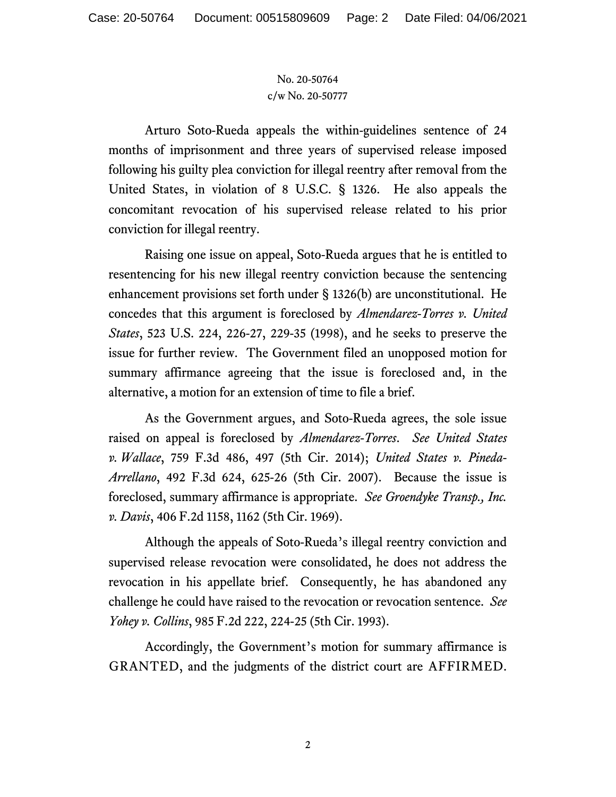## No. 20-50764 c/w No. 20-50777

Arturo Soto-Rueda appeals the within-guidelines sentence of 24 months of imprisonment and three years of supervised release imposed following his guilty plea conviction for illegal reentry after removal from the United States, in violation of 8 U.S.C. § 1326. He also appeals the concomitant revocation of his supervised release related to his prior conviction for illegal reentry.

Raising one issue on appeal, Soto-Rueda argues that he is entitled to resentencing for his new illegal reentry conviction because the sentencing enhancement provisions set forth under § 1326(b) are unconstitutional. He concedes that this argument is foreclosed by *Almendarez-Torres v. United States*, 523 U.S. 224, 226-27, 229-35 (1998), and he seeks to preserve the issue for further review. The Government filed an unopposed motion for summary affirmance agreeing that the issue is foreclosed and, in the alternative, a motion for an extension of time to file a brief.

As the Government argues, and Soto-Rueda agrees, the sole issue raised on appeal is foreclosed by *Almendarez-Torres*. *See United States v. Wallace*, 759 F.3d 486, 497 (5th Cir. 2014); *United States v. Pineda-Arrellano*, 492 F.3d 624, 625-26 (5th Cir. 2007). Because the issue is foreclosed, summary affirmance is appropriate. *See Groendyke Transp., Inc. v. Davis*, 406 F.2d 1158, 1162 (5th Cir. 1969).

Although the appeals of Soto-Rueda's illegal reentry conviction and supervised release revocation were consolidated, he does not address the revocation in his appellate brief. Consequently, he has abandoned any challenge he could have raised to the revocation or revocation sentence. *See Yohey v. Collins*, 985 F.2d 222, 224-25 (5th Cir. 1993).

Accordingly, the Government's motion for summary affirmance is GRANTED, and the judgments of the district court are AFFIRMED.